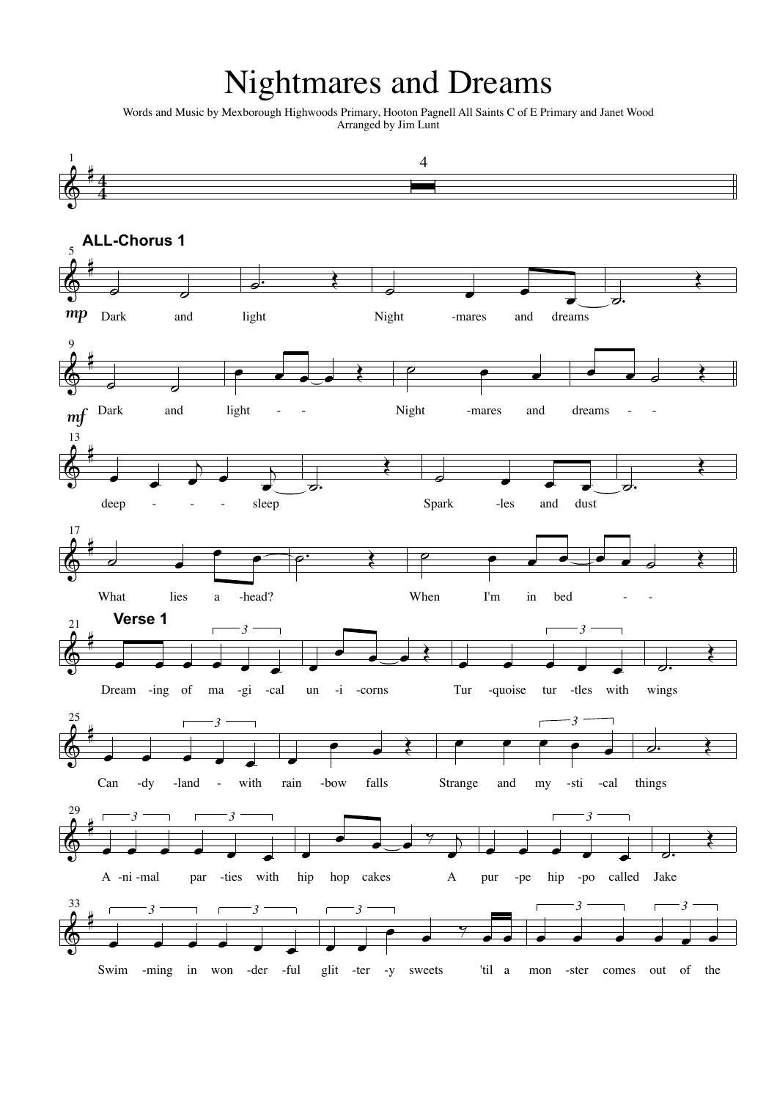## **Nightmares and Dreams**

Words and Music by Mexborough Highwoods Primary, Hooton Pagnell All Saints C of E Primary and Janet Wood<br>Arranged by Jim Lunt

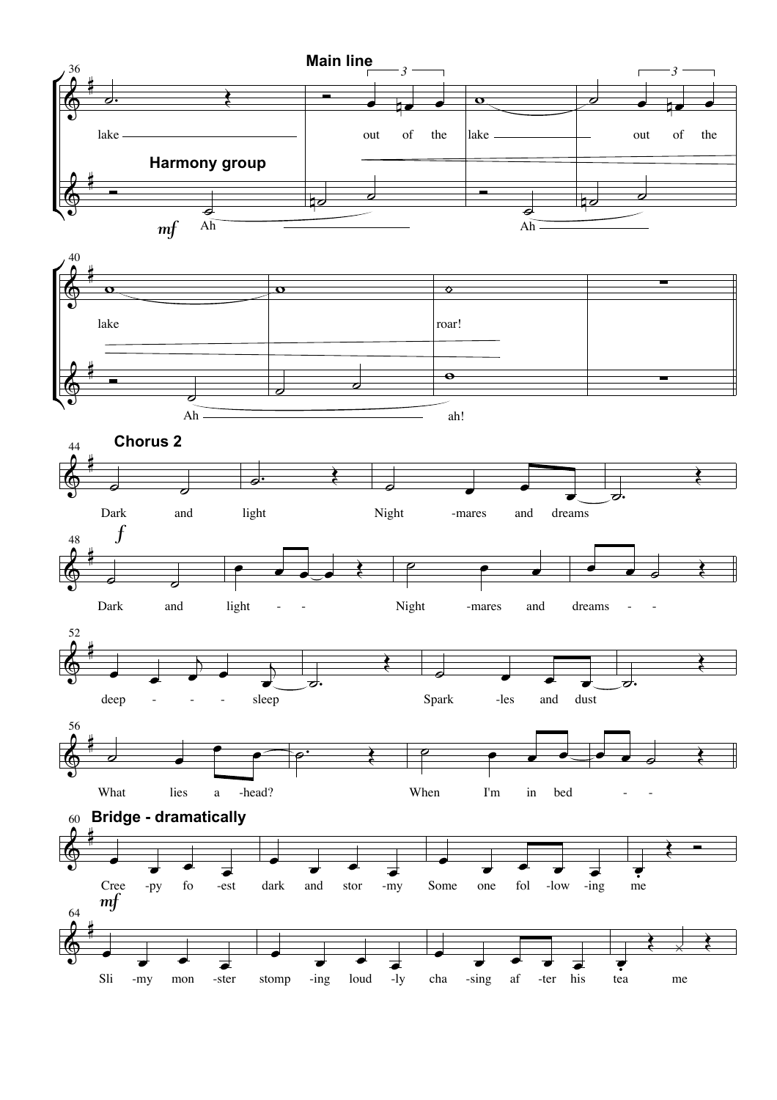